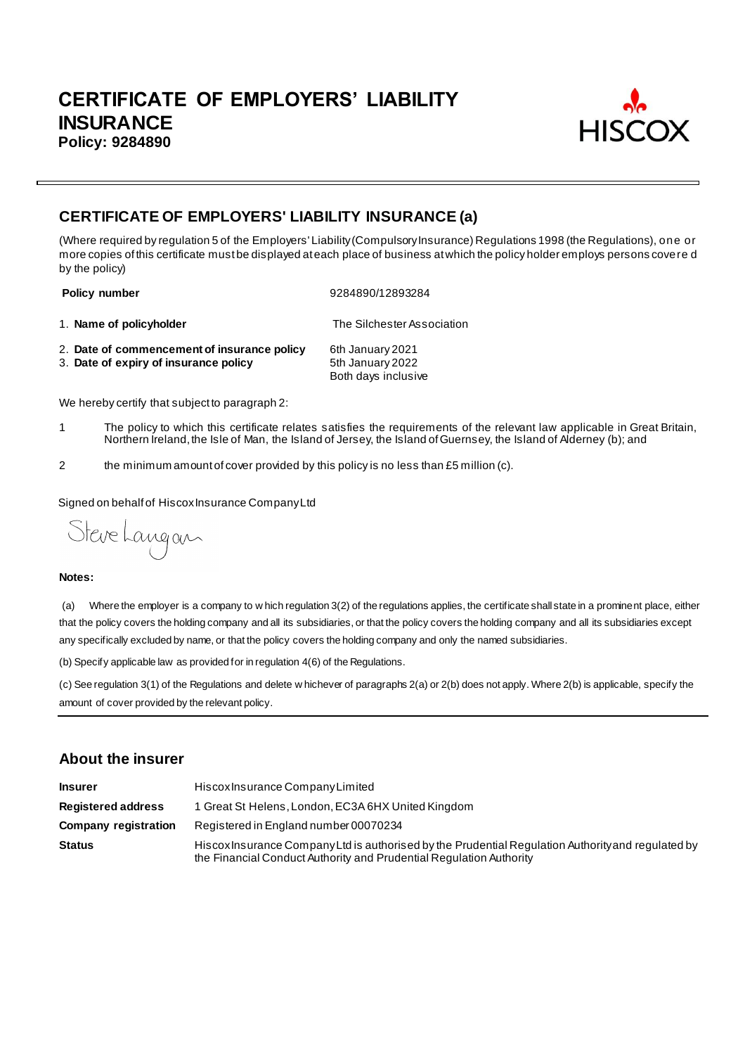

# **CERTIFICATE OF EMPLOYERS' LIABILITY INSURANCE (a)**

(Where required by regulation 5 of the Employers' Liability (Compulsory Insurance) Regulations 1998 (the Regulations), one or more copies of this certificate must be displayed at each place of business at which the policy holder employs persons covere d by the policy)

**Policy number** 9284890/12893284

1. **Name of policyholder** The Silchester Association

- 2. **Date of commencement of insurance policy** 6th January 2021<br>3. **Date of expiry of insurance policy** 5th January 2022
- 3. Date of expiry of insurance policy

Both days inclusive

We hereby certify that subject to paragraph 2:

- 1 The policy to which this certificate relates satisfies the requirements of the relevant law applicable in Great Britain, Northern Ireland, the Isle of Man, the Island of Jersey, the Island of Guernsey, the Island of Alderney (b); and
- 2 the minimum amount of cover provided by this policy is no less than £5 million (c).

Signed on behalf of Hiscox Insurance Company Ltd

Steve Langan

#### **Notes:**

(a) Where the employer is a company to w hich regulation 3(2) of the regulations applies, the certificate shall state in a prominent place, either that the policy covers the holding company and all its subsidiaries, or that the policy covers the holding company and all its subsidiaries except any specifically excluded by name, or that the policy covers the holding company and only the named subsidiaries.

(b) Specify applicable law as provided for in regulation 4(6) of the Regulations.

(c) See regulation 3(1) of the Regulations and delete w hichever of paragraphs 2(a) or 2(b) does not apply. Where 2(b) is applicable, specify the amount of cover provided by the relevant policy.

## **About the insurer**

| <b>Insurer</b>              | Hiscox Insurance Company Limited                                                                                                                                          |
|-----------------------------|---------------------------------------------------------------------------------------------------------------------------------------------------------------------------|
| <b>Registered address</b>   | 1 Great St Helens, London, EC3A 6HX United Kingdom                                                                                                                        |
| <b>Company registration</b> | Registered in England number 00070234                                                                                                                                     |
| <b>Status</b>               | Hiscox Insurance Company Ltd is authorised by the Prudential Regulation Authority and regulated by<br>the Financial Conduct Authority and Prudential Regulation Authority |